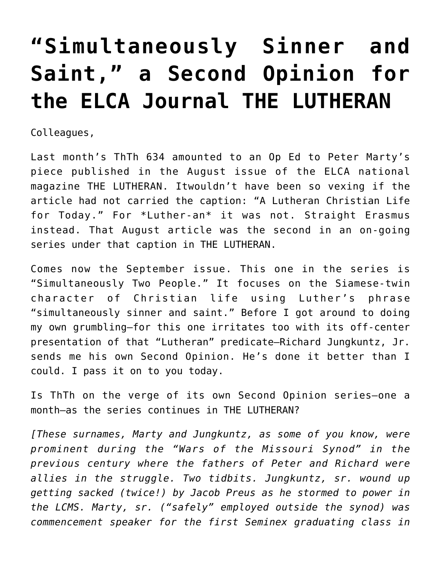## **["Simultaneously Sinner and](https://crossings.org/simultaneously-sinner-and-saint-a-second-opinion-for-the-elca-journal-the-lutheran/) [Saint," a Second Opinion for](https://crossings.org/simultaneously-sinner-and-saint-a-second-opinion-for-the-elca-journal-the-lutheran/) [the ELCA Journal THE LUTHERAN](https://crossings.org/simultaneously-sinner-and-saint-a-second-opinion-for-the-elca-journal-the-lutheran/)**

Colleagues,

Last month's ThTh 634 amounted to an Op Ed to Peter Marty's piece published in the August issue of the ELCA national magazine THE LUTHERAN. Itwouldn't have been so vexing if the article had not carried the caption: "A Lutheran Christian Life for Today." For \*Luther-an\* it was not. Straight Erasmus instead. That August article was the second in an on-going series under that caption in THE LUTHERAN.

Comes now the September issue. This one in the series is "Simultaneously Two People." It focuses on the Siamese-twin character of Christian life using Luther's phrase "simultaneously sinner and saint." Before I got around to doing my own grumbling–for this one irritates too with its off-center presentation of that "Lutheran" predicate–Richard Jungkuntz, Jr. sends me his own Second Opinion. He's done it better than I could. I pass it on to you today.

Is ThTh on the verge of its own Second Opinion series–one a month–as the series continues in THE LUTHERAN?

*[These surnames, Marty and Jungkuntz, as some of you know, were prominent during the "Wars of the Missouri Synod" in the previous century where the fathers of Peter and Richard were allies in the struggle. Two tidbits. Jungkuntz, sr. wound up getting sacked (twice!) by Jacob Preus as he stormed to power in the LCMS. Marty, sr. ("safely" employed outside the synod) was commencement speaker for the first Seminex graduating class in*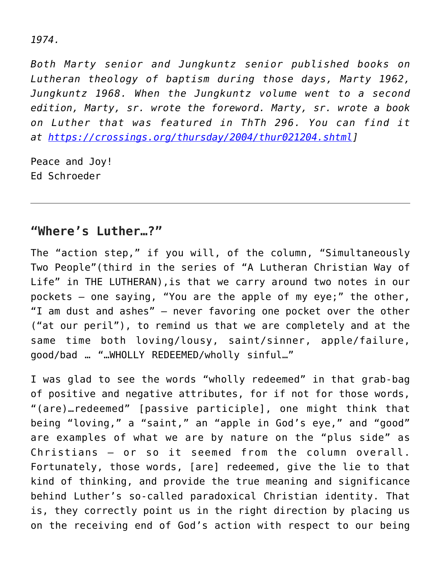## *1974.*

*Both Marty senior and Jungkuntz senior published books on Lutheran theology of baptism during those days, Marty 1962, Jungkuntz 1968. When the Jungkuntz volume went to a second edition, Marty, sr. wrote the foreword. Marty, sr. wrote a book on Luther that was featured in ThTh 296. You can find it at [https://crossings.org/thursday/2004/thur021204.shtml\]](https://crossings.org/thursday/2004/thur021204.shtml)*

Peace and Joy! Ed Schroeder

## **"Where's Luther…?"**

The "action step," if you will, of the column, "Simultaneously Two People"(third in the series of "A Lutheran Christian Way of Life" in THE LUTHERAN),is that we carry around two notes in our pockets — one saying, "You are the apple of my eye;" the other, "I am dust and ashes" — never favoring one pocket over the other ("at our peril"), to remind us that we are completely and at the same time both loving/lousy, saint/sinner, apple/failure, good/bad … "…WHOLLY REDEEMED/wholly sinful…"

I was glad to see the words "wholly redeemed" in that grab-bag of positive and negative attributes, for if not for those words, "(are)…redeemed" [passive participle], one might think that being "loving," a "saint," an "apple in God's eye," and "good" are examples of what we are by nature on the "plus side" as Christians — or so it seemed from the column overall. Fortunately, those words, [are] redeemed, give the lie to that kind of thinking, and provide the true meaning and significance behind Luther's so-called paradoxical Christian identity. That is, they correctly point us in the right direction by placing us on the receiving end of God's action with respect to our being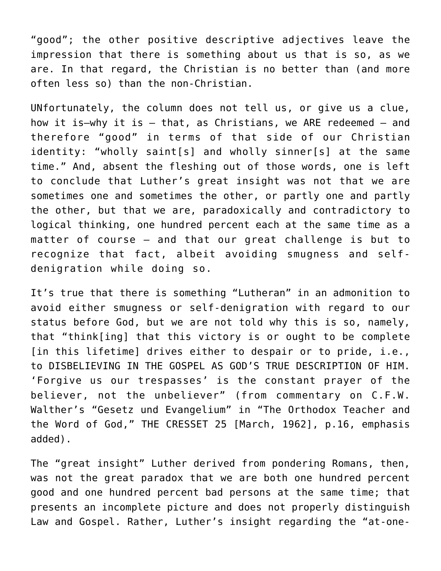"good"; the other positive descriptive adjectives leave the impression that there is something about us that is so, as we are. In that regard, the Christian is no better than (and more often less so) than the non-Christian.

UNfortunately, the column does not tell us, or give us a clue, how it is–why it is — that, as Christians, we ARE redeemed — and therefore "good" in terms of that side of our Christian identity: "wholly saint[s] and wholly sinner[s] at the same time." And, absent the fleshing out of those words, one is left to conclude that Luther's great insight was not that we are sometimes one and sometimes the other, or partly one and partly the other, but that we are, paradoxically and contradictory to logical thinking, one hundred percent each at the same time as a matter of course — and that our great challenge is but to recognize that fact, albeit avoiding smugness and selfdenigration while doing so.

It's true that there is something "Lutheran" in an admonition to avoid either smugness or self-denigration with regard to our status before God, but we are not told why this is so, namely, that "think[ing] that this victory is or ought to be complete [in this lifetime] drives either to despair or to pride, i.e., to DISBELIEVING IN THE GOSPEL AS GOD'S TRUE DESCRIPTION OF HIM. 'Forgive us our trespasses' is the constant prayer of the believer, not the unbeliever" (from commentary on C.F.W. Walther's "Gesetz und Evangelium" in "The Orthodox Teacher and the Word of God," THE CRESSET 25 [March, 1962], p.16, emphasis added).

The "great insight" Luther derived from pondering Romans, then, was not the great paradox that we are both one hundred percent good and one hundred percent bad persons at the same time; that presents an incomplete picture and does not properly distinguish Law and Gospel. Rather, Luther's insight regarding the "at-one-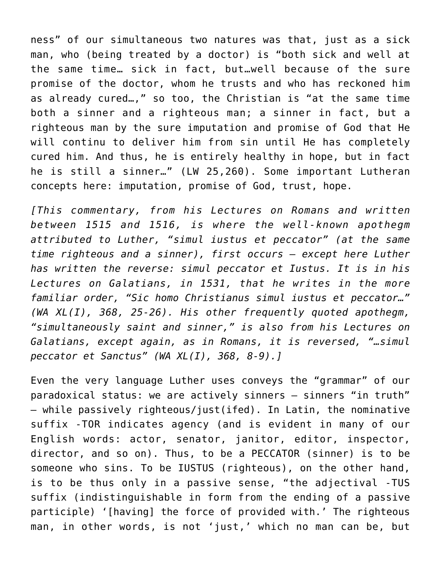ness" of our simultaneous two natures was that, just as a sick man, who (being treated by a doctor) is "both sick and well at the same time… sick in fact, but…well because of the sure promise of the doctor, whom he trusts and who has reckoned him as already cured…," so too, the Christian is "at the same time both a sinner and a righteous man; a sinner in fact, but a righteous man by the sure imputation and promise of God that He will continu to deliver him from sin until He has completely cured him. And thus, he is entirely healthy in hope, but in fact he is still a sinner…" (LW 25,260). Some important Lutheran concepts here: imputation, promise of God, trust, hope.

*[This commentary, from his Lectures on Romans and written between 1515 and 1516, is where the well-known apothegm attributed to Luther, "simul iustus et peccator" (at the same time righteous and a sinner), first occurs — except here Luther has written the reverse: simul peccator et Iustus. It is in his Lectures on Galatians, in 1531, that he writes in the more familiar order, "Sic homo Christianus simul iustus et peccator…" (WA XL(I), 368, 25-26). His other frequently quoted apothegm, "simultaneously saint and sinner," is also from his Lectures on Galatians, except again, as in Romans, it is reversed, "…simul peccator et Sanctus" (WA XL(I), 368, 8-9).]*

Even the very language Luther uses conveys the "grammar" of our paradoxical status: we are actively sinners — sinners "in truth" — while passively righteous/just(ifed). In Latin, the nominative suffix -TOR indicates agency (and is evident in many of our English words: actor, senator, janitor, editor, inspector, director, and so on). Thus, to be a PECCATOR (sinner) is to be someone who sins. To be IUSTUS (righteous), on the other hand, is to be thus only in a passive sense, "the adjectival -TUS suffix (indistinguishable in form from the ending of a passive participle) '[having] the force of provided with.' The righteous man, in other words, is not 'just,' which no man can be, but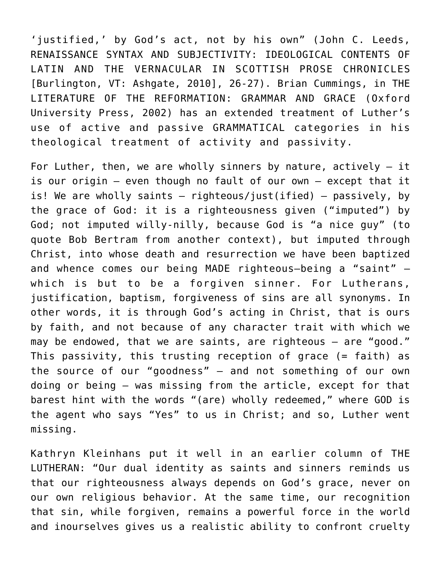'justified,' by God's act, not by his own" (John C. Leeds, RENAISSANCE SYNTAX AND SUBJECTIVITY: IDEOLOGICAL CONTENTS OF LATIN AND THE VERNACULAR IN SCOTTISH PROSE CHRONICLES [Burlington, VT: Ashgate, 2010], 26-27). Brian Cummings, in THE LITERATURE OF THE REFORMATION: GRAMMAR AND GRACE (Oxford University Press, 2002) has an extended treatment of Luther's use of active and passive GRAMMATICAL categories in his theological treatment of activity and passivity.

For Luther, then, we are wholly sinners by nature, actively  $-$  it is our origin — even though no fault of our own — except that it is! We are wholly saints — righteous/just(ified) — passively, by the grace of God: it is a righteousness given ("imputed") by God; not imputed willy-nilly, because God is "a nice guy" (to quote Bob Bertram from another context), but imputed through Christ, into whose death and resurrection we have been baptized and whence comes our being MADE righteous–being a "saint" which is but to be a forgiven sinner. For Lutherans, justification, baptism, forgiveness of sins are all synonyms. In other words, it is through God's acting in Christ, that is ours by faith, and not because of any character trait with which we may be endowed, that we are saints, are righteous — are "good." This passivity, this trusting reception of grace (= faith) as the source of our "goodness" — and not something of our own doing or being — was missing from the article, except for that barest hint with the words "(are) wholly redeemed," where GOD is the agent who says "Yes" to us in Christ; and so, Luther went missing.

Kathryn Kleinhans put it well in an earlier column of THE LUTHERAN: "Our dual identity as saints and sinners reminds us that our righteousness always depends on God's grace, never on our own religious behavior. At the same time, our recognition that sin, while forgiven, remains a powerful force in the world and inourselves gives us a realistic ability to confront cruelty